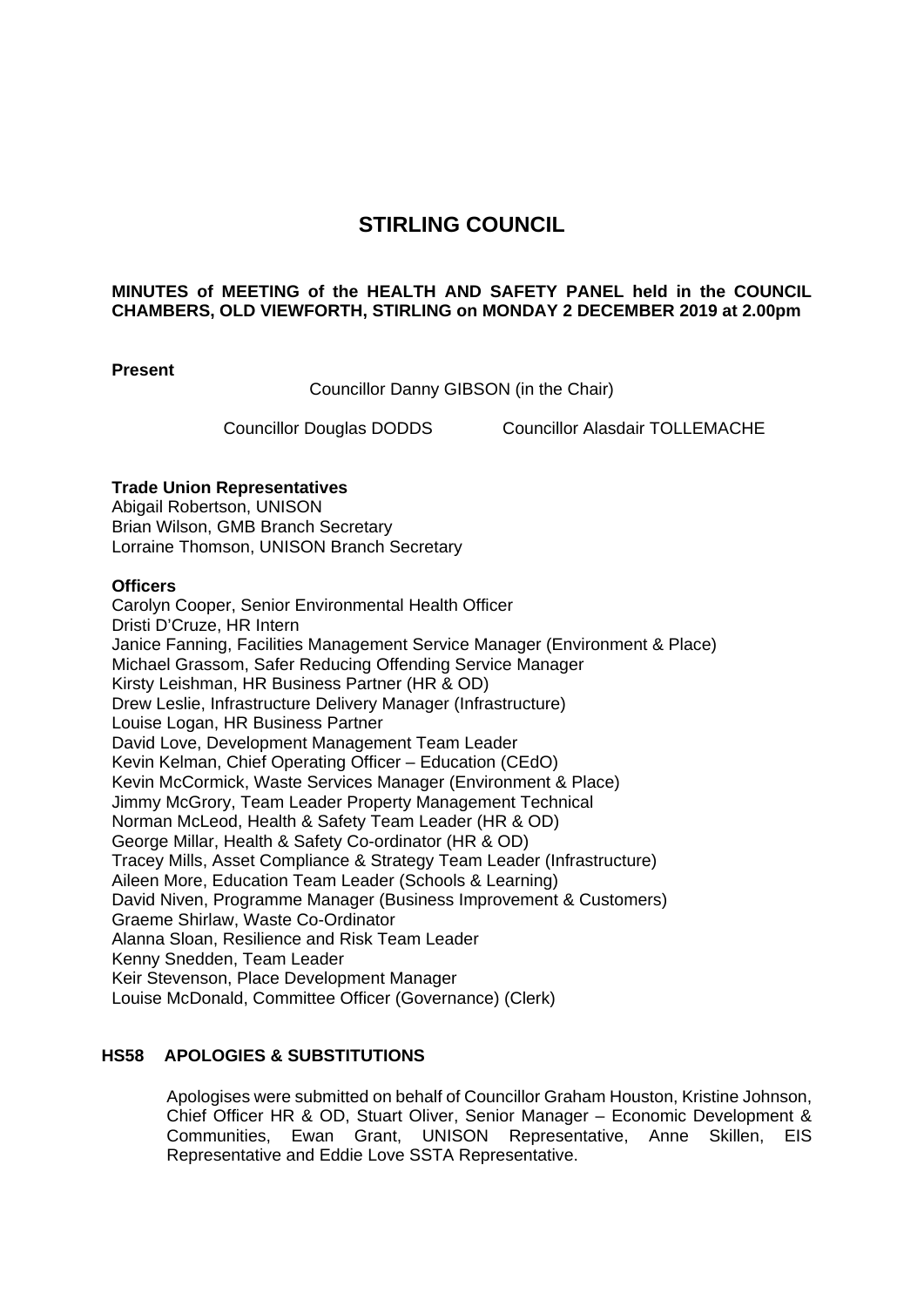# **STIRLING COUNCIL**

### **MINUTES of MEETING of the HEALTH AND SAFETY PANEL held in the COUNCIL CHAMBERS, OLD VIEWFORTH, STIRLING on MONDAY 2 DECEMBER 2019 at 2.00pm**

### **Present**

Councillor Danny GIBSON (in the Chair)

Councillor Douglas DODDS Councillor Alasdair TOLLEMACHE

### **Trade Union Representatives**

Abigail Robertson, UNISON Brian Wilson, GMB Branch Secretary Lorraine Thomson, UNISON Branch Secretary

### **Officers**

Carolyn Cooper, Senior Environmental Health Officer Dristi D'Cruze, HR Intern Janice Fanning, Facilities Management Service Manager (Environment & Place) Michael Grassom, Safer Reducing Offending Service Manager Kirsty Leishman, HR Business Partner (HR & OD) Drew Leslie, Infrastructure Delivery Manager (Infrastructure) Louise Logan, HR Business Partner David Love, Development Management Team Leader Kevin Kelman, Chief Operating Officer – Education (CEdO) Kevin McCormick, Waste Services Manager (Environment & Place) Jimmy McGrory, Team Leader Property Management Technical Norman McLeod, Health & Safety Team Leader (HR & OD) George Millar, Health & Safety Co-ordinator (HR & OD) Tracey Mills, Asset Compliance & Strategy Team Leader (Infrastructure) Aileen More, Education Team Leader (Schools & Learning) David Niven, Programme Manager (Business Improvement & Customers) Graeme Shirlaw, Waste Co-Ordinator Alanna Sloan, Resilience and Risk Team Leader Kenny Snedden, Team Leader Keir Stevenson, Place Development Manager Louise McDonald, Committee Officer (Governance) (Clerk)

### **HS58 APOLOGIES & SUBSTITUTIONS**

Apologises were submitted on behalf of Councillor Graham Houston, Kristine Johnson, Chief Officer HR & OD, Stuart Oliver, Senior Manager – Economic Development & Communities, Ewan Grant, UNISON Representative, Anne Skillen, EIS Representative and Eddie Love SSTA Representative.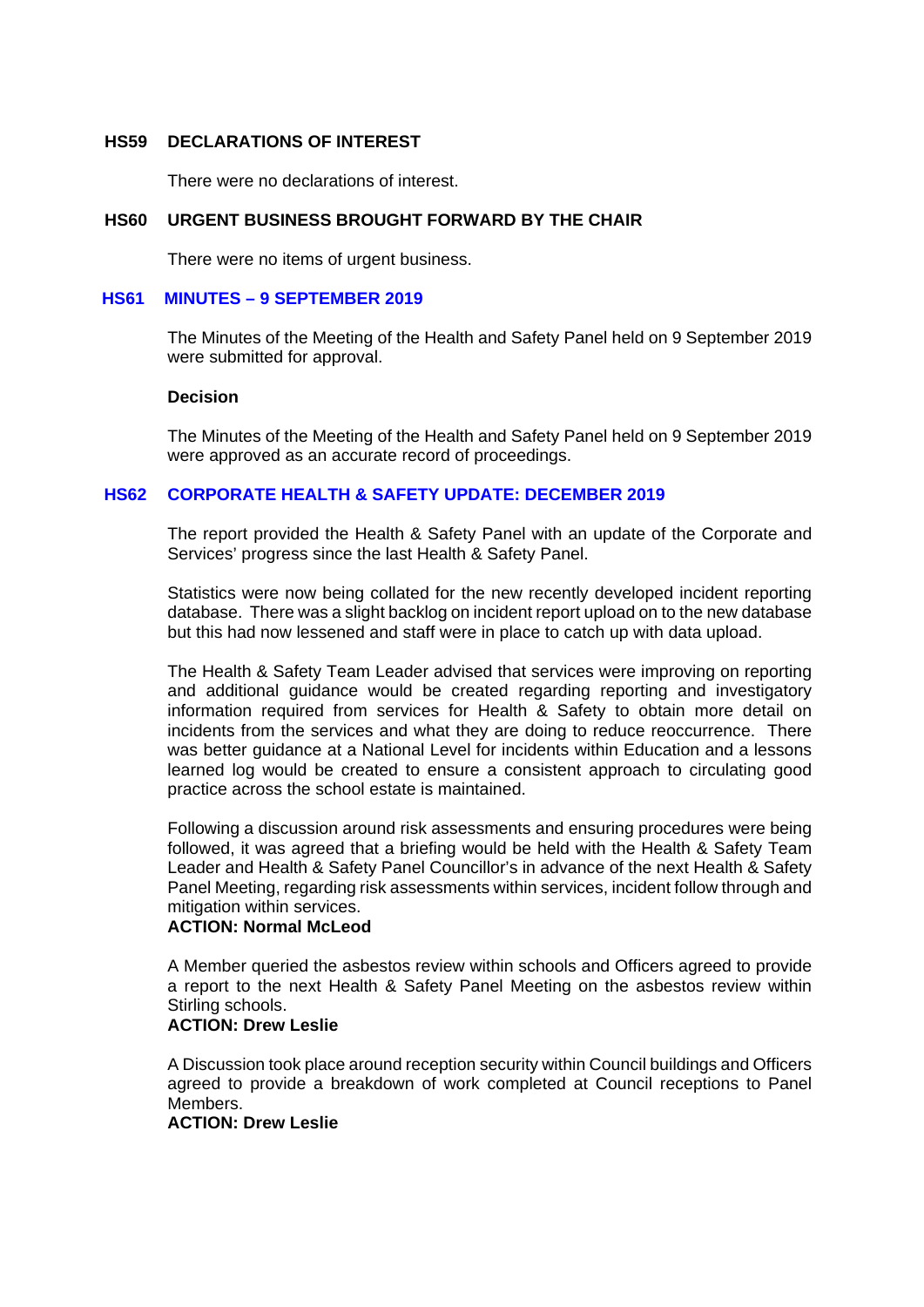### **HS59 DECLARATIONS OF INTEREST**

There were no declarations of interest.

### **HS60 URGENT BUSINESS BROUGHT FORWARD BY THE CHAIR**

There were no items of urgent business.

### **HS61 MINUTES – 9 SEPTEMBER 2019**

The Minutes of the Meeting of the Health and Safety Panel held on 9 September 2019 were submitted for approval.

#### **Decision**

The Minutes of the Meeting of the Health and Safety Panel held on 9 September 2019 were approved as an accurate record of proceedings.

### **HS62 CORPORATE HEALTH & SAFETY UPDATE: DECEMBER 2019**

The report provided the Health & Safety Panel with an update of the Corporate and Services' progress since the last Health & Safety Panel.

Statistics were now being collated for the new recently developed incident reporting database. There was a slight backlog on incident report upload on to the new database but this had now lessened and staff were in place to catch up with data upload.

The Health & Safety Team Leader advised that services were improving on reporting and additional guidance would be created regarding reporting and investigatory information required from services for Health & Safety to obtain more detail on incidents from the services and what they are doing to reduce reoccurrence. There was better guidance at a National Level for incidents within Education and a lessons learned log would be created to ensure a consistent approach to circulating good practice across the school estate is maintained.

Following a discussion around risk assessments and ensuring procedures were being followed, it was agreed that a briefing would be held with the Health & Safety Team Leader and Health & Safety Panel Councillor's in advance of the next Health & Safety Panel Meeting, regarding risk assessments within services, incident follow through and mitigation within services.

### **ACTION: Normal McLeod**

A Member queried the asbestos review within schools and Officers agreed to provide a report to the next Health & Safety Panel Meeting on the asbestos review within Stirling schools.

### **ACTION: Drew Leslie**

A Discussion took place around reception security within Council buildings and Officers agreed to provide a breakdown of work completed at Council receptions to Panel Members.

# **ACTION: Drew Leslie**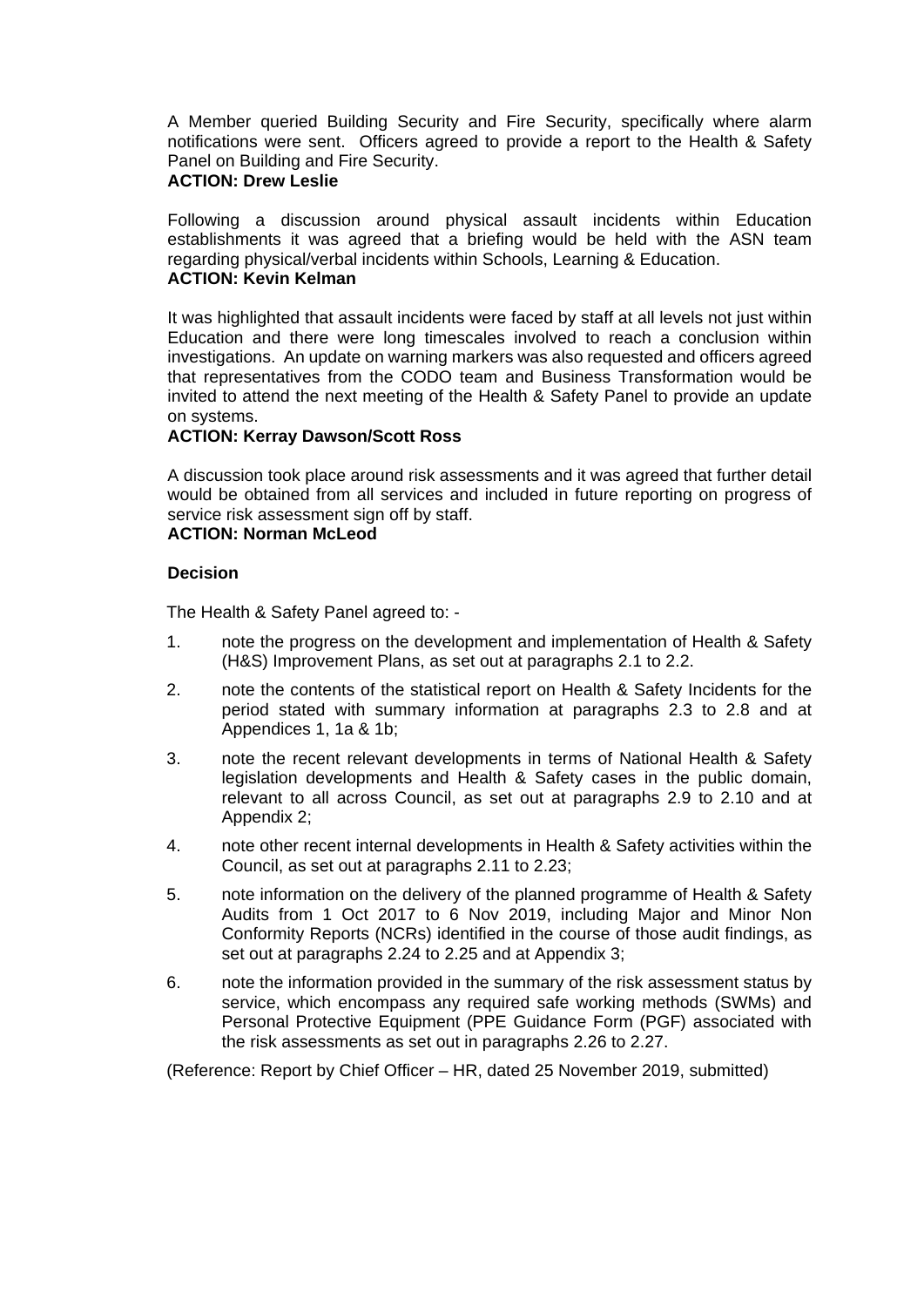A Member queried Building Security and Fire Security, specifically where alarm notifications were sent. Officers agreed to provide a report to the Health & Safety Panel on Building and Fire Security.

# **ACTION: Drew Leslie**

Following a discussion around physical assault incidents within Education establishments it was agreed that a briefing would be held with the ASN team regarding physical/verbal incidents within Schools, Learning & Education.

# **ACTION: Kevin Kelman**

It was highlighted that assault incidents were faced by staff at all levels not just within Education and there were long timescales involved to reach a conclusion within investigations. An update on warning markers was also requested and officers agreed that representatives from the CODO team and Business Transformation would be invited to attend the next meeting of the Health & Safety Panel to provide an update on systems.

### **ACTION: Kerray Dawson/Scott Ross**

A discussion took place around risk assessments and it was agreed that further detail would be obtained from all services and included in future reporting on progress of service risk assessment sign off by staff.

# **ACTION: Norman McLeod**

# **Decision**

The Health & Safety Panel agreed to: -

- 1. note the progress on the development and implementation of Health & Safety (H&S) Improvement Plans, as set out at paragraphs 2.1 to 2.2.
- 2. note the contents of the statistical report on Health & Safety Incidents for the period stated with summary information at paragraphs 2.3 to 2.8 and at Appendices 1, 1a & 1b;
- 3. note the recent relevant developments in terms of National Health & Safety legislation developments and Health & Safety cases in the public domain, relevant to all across Council, as set out at paragraphs 2.9 to 2.10 and at Appendix 2;
- 4. note other recent internal developments in Health & Safety activities within the Council, as set out at paragraphs 2.11 to 2.23;
- 5. note information on the delivery of the planned programme of Health & Safety Audits from 1 Oct 2017 to 6 Nov 2019, including Major and Minor Non Conformity Reports (NCRs) identified in the course of those audit findings, as set out at paragraphs 2.24 to 2.25 and at Appendix 3;
- 6. note the information provided in the summary of the risk assessment status by service, which encompass any required safe working methods (SWMs) and Personal Protective Equipment (PPE Guidance Form (PGF) associated with the risk assessments as set out in paragraphs 2.26 to 2.27.

(Reference: Report by Chief Officer – HR, dated 25 November 2019, submitted)